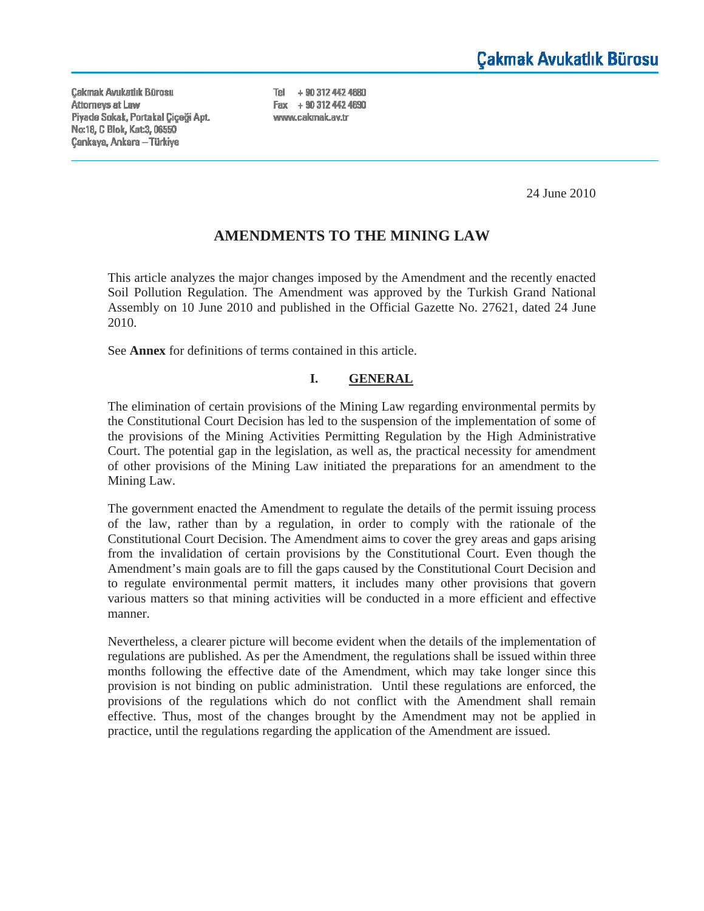**Cakmak Avukatlık Bürosu** Attorneys at Law Piyade Sokak, Portakal Çiçeği Apt. Nα 18, C Blok, Kat 3, 06550 **Çankaya, Ankara - Türkiye** 

Tel + 90 312 442 4680 Fax + 90 312 442 4690 www.cakmak.av.tr

24 June 2010

# **AMENDMENTS TO THE MINING LAW**

This article analyzes the major changes imposed by the Amendment and the recently enacted Soil Pollution Regulation. The Amendment was approved by the Turkish Grand National Assembly on 10 June 2010 and published in the Official Gazette No. 27621, dated 24 June 2010.

See **Annex** for definitions of terms contained in this article.

#### **I. GENERAL**

The elimination of certain provisions of the Mining Law regarding environmental permits by the Constitutional Court Decision has led to the suspension of the implementation of some of the provisions of the Mining Activities Permitting Regulation by the High Administrative Court. The potential gap in the legislation, as well as, the practical necessity for amendment of other provisions of the Mining Law initiated the preparations for an amendment to the Mining Law.

The government enacted the Amendment to regulate the details of the permit issuing process of the law, rather than by a regulation, in order to comply with the rationale of the Constitutional Court Decision. The Amendment aims to cover the grey areas and gaps arising from the invalidation of certain provisions by the Constitutional Court. Even though the Amendment's main goals are to fill the gaps caused by the Constitutional Court Decision and to regulate environmental permit matters, it includes many other provisions that govern various matters so that mining activities will be conducted in a more efficient and effective manner.

Nevertheless, a clearer picture will become evident when the details of the implementation of regulations are published. As per the Amendment, the regulations shall be issued within three months following the effective date of the Amendment, which may take longer since this provision is not binding on public administration. Until these regulations are enforced, the provisions of the regulations which do not conflict with the Amendment shall remain effective. Thus, most of the changes brought by the Amendment may not be applied in practice, until the regulations regarding the application of the Amendment are issued.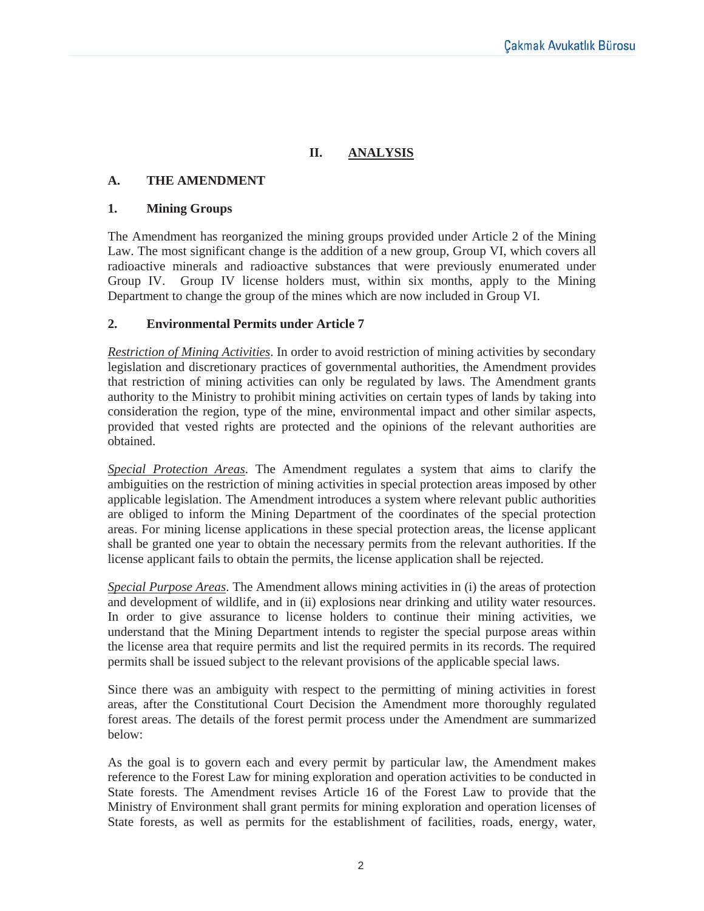# **II. ANALYSIS**

## **A. THE AMENDMENT**

#### **1. Mining Groups**

The Amendment has reorganized the mining groups provided under Article 2 of the Mining Law. The most significant change is the addition of a new group, Group VI, which covers all radioactive minerals and radioactive substances that were previously enumerated under Group IV. Group IV license holders must, within six months, apply to the Mining Department to change the group of the mines which are now included in Group VI.

#### **2. Environmental Permits under Article 7**

*Restriction of Mining Activities*. In order to avoid restriction of mining activities by secondary legislation and discretionary practices of governmental authorities, the Amendment provides that restriction of mining activities can only be regulated by laws. The Amendment grants authority to the Ministry to prohibit mining activities on certain types of lands by taking into consideration the region, type of the mine, environmental impact and other similar aspects, provided that vested rights are protected and the opinions of the relevant authorities are obtained.

*Special Protection Areas*. The Amendment regulates a system that aims to clarify the ambiguities on the restriction of mining activities in special protection areas imposed by other applicable legislation. The Amendment introduces a system where relevant public authorities are obliged to inform the Mining Department of the coordinates of the special protection areas. For mining license applications in these special protection areas, the license applicant shall be granted one year to obtain the necessary permits from the relevant authorities. If the license applicant fails to obtain the permits, the license application shall be rejected.

*Special Purpose Areas*. The Amendment allows mining activities in (i) the areas of protection and development of wildlife, and in (ii) explosions near drinking and utility water resources. In order to give assurance to license holders to continue their mining activities, we understand that the Mining Department intends to register the special purpose areas within the license area that require permits and list the required permits in its records. The required permits shall be issued subject to the relevant provisions of the applicable special laws.

Since there was an ambiguity with respect to the permitting of mining activities in forest areas, after the Constitutional Court Decision the Amendment more thoroughly regulated forest areas. The details of the forest permit process under the Amendment are summarized below:

As the goal is to govern each and every permit by particular law, the Amendment makes reference to the Forest Law for mining exploration and operation activities to be conducted in State forests. The Amendment revises Article 16 of the Forest Law to provide that the Ministry of Environment shall grant permits for mining exploration and operation licenses of State forests, as well as permits for the establishment of facilities, roads, energy, water,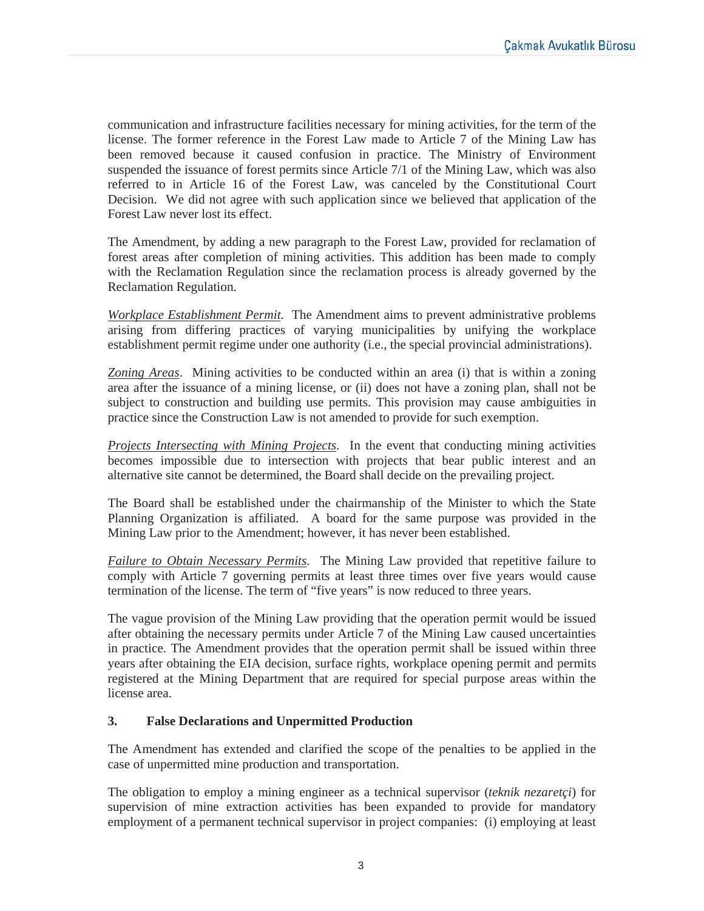communication and infrastructure facilities necessary for mining activities, for the term of the license. The former reference in the Forest Law made to Article 7 of the Mining Law has been removed because it caused confusion in practice. The Ministry of Environment suspended the issuance of forest permits since Article 7/1 of the Mining Law, which was also referred to in Article 16 of the Forest Law, was canceled by the Constitutional Court Decision. We did not agree with such application since we believed that application of the Forest Law never lost its effect.

The Amendment, by adding a new paragraph to the Forest Law, provided for reclamation of forest areas after completion of mining activities. This addition has been made to comply with the Reclamation Regulation since the reclamation process is already governed by the Reclamation Regulation.

*Workplace Establishment Permit*. The Amendment aims to prevent administrative problems arising from differing practices of varying municipalities by unifying the workplace establishment permit regime under one authority (i.e., the special provincial administrations).

*Zoning Areas*. Mining activities to be conducted within an area (i) that is within a zoning area after the issuance of a mining license, or (ii) does not have a zoning plan, shall not be subject to construction and building use permits. This provision may cause ambiguities in practice since the Construction Law is not amended to provide for such exemption.

*Projects Intersecting with Mining Projects*. In the event that conducting mining activities becomes impossible due to intersection with projects that bear public interest and an alternative site cannot be determined, the Board shall decide on the prevailing project.

The Board shall be established under the chairmanship of the Minister to which the State Planning Organization is affiliated. A board for the same purpose was provided in the Mining Law prior to the Amendment; however, it has never been established.

*Failure to Obtain Necessary Permits.* The Mining Law provided that repetitive failure to comply with Article 7 governing permits at least three times over five years would cause termination of the license. The term of "five years" is now reduced to three years.

The vague provision of the Mining Law providing that the operation permit would be issued after obtaining the necessary permits under Article 7 of the Mining Law caused uncertainties in practice. The Amendment provides that the operation permit shall be issued within three years after obtaining the EIA decision, surface rights, workplace opening permit and permits registered at the Mining Department that are required for special purpose areas within the license area.

### **3. False Declarations and Unpermitted Production**

The Amendment has extended and clarified the scope of the penalties to be applied in the case of unpermitted mine production and transportation.

The obligation to employ a mining engineer as a technical supervisor (*teknik nezaretçi*) for supervision of mine extraction activities has been expanded to provide for mandatory employment of a permanent technical supervisor in project companies: (i) employing at least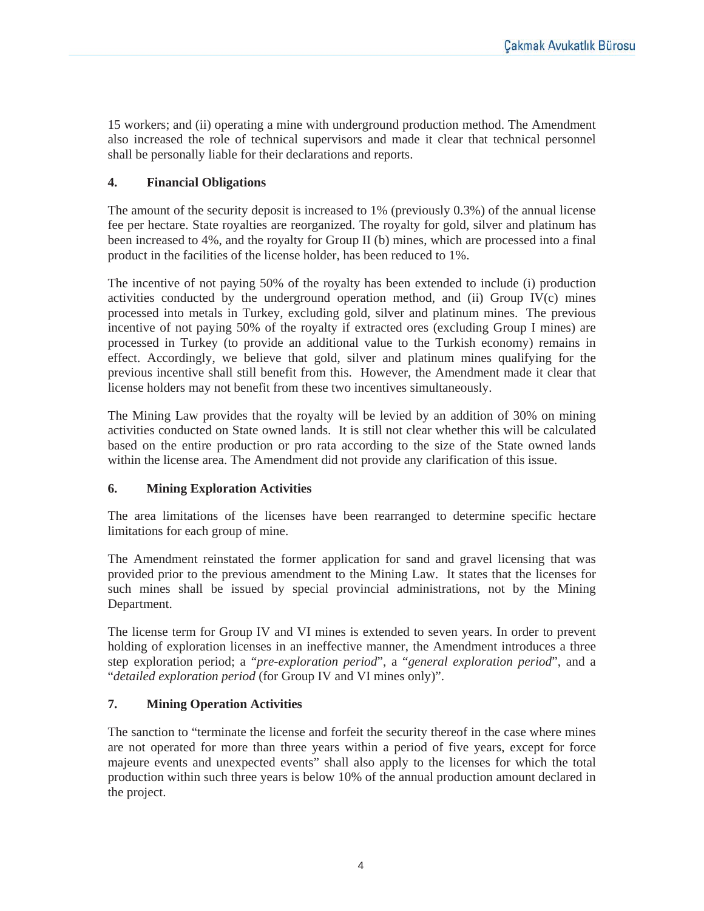15 workers; and (ii) operating a mine with underground production method. The Amendment also increased the role of technical supervisors and made it clear that technical personnel shall be personally liable for their declarations and reports.

### **4. Financial Obligations**

The amount of the security deposit is increased to 1% (previously 0.3%) of the annual license fee per hectare. State royalties are reorganized. The royalty for gold, silver and platinum has been increased to 4%, and the royalty for Group II (b) mines, which are processed into a final product in the facilities of the license holder, has been reduced to 1%.

The incentive of not paying 50% of the royalty has been extended to include (i) production activities conducted by the underground operation method, and (ii) Group IV(c) mines processed into metals in Turkey, excluding gold, silver and platinum mines. The previous incentive of not paying 50% of the royalty if extracted ores (excluding Group I mines) are processed in Turkey (to provide an additional value to the Turkish economy) remains in effect. Accordingly, we believe that gold, silver and platinum mines qualifying for the previous incentive shall still benefit from this. However, the Amendment made it clear that license holders may not benefit from these two incentives simultaneously.

The Mining Law provides that the royalty will be levied by an addition of 30% on mining activities conducted on State owned lands. It is still not clear whether this will be calculated based on the entire production or pro rata according to the size of the State owned lands within the license area. The Amendment did not provide any clarification of this issue.

### **6. Mining Exploration Activities**

The area limitations of the licenses have been rearranged to determine specific hectare limitations for each group of mine.

The Amendment reinstated the former application for sand and gravel licensing that was provided prior to the previous amendment to the Mining Law. It states that the licenses for such mines shall be issued by special provincial administrations, not by the Mining Department.

The license term for Group IV and VI mines is extended to seven years. In order to prevent holding of exploration licenses in an ineffective manner, the Amendment introduces a three step exploration period; a "*pre-exploration period*", a "*general exploration period*", and a "*detailed exploration period* (for Group IV and VI mines only)".

## **7. Mining Operation Activities**

The sanction to "terminate the license and forfeit the security thereof in the case where mines are not operated for more than three years within a period of five years, except for force majeure events and unexpected events" shall also apply to the licenses for which the total production within such three years is below 10% of the annual production amount declared in the project.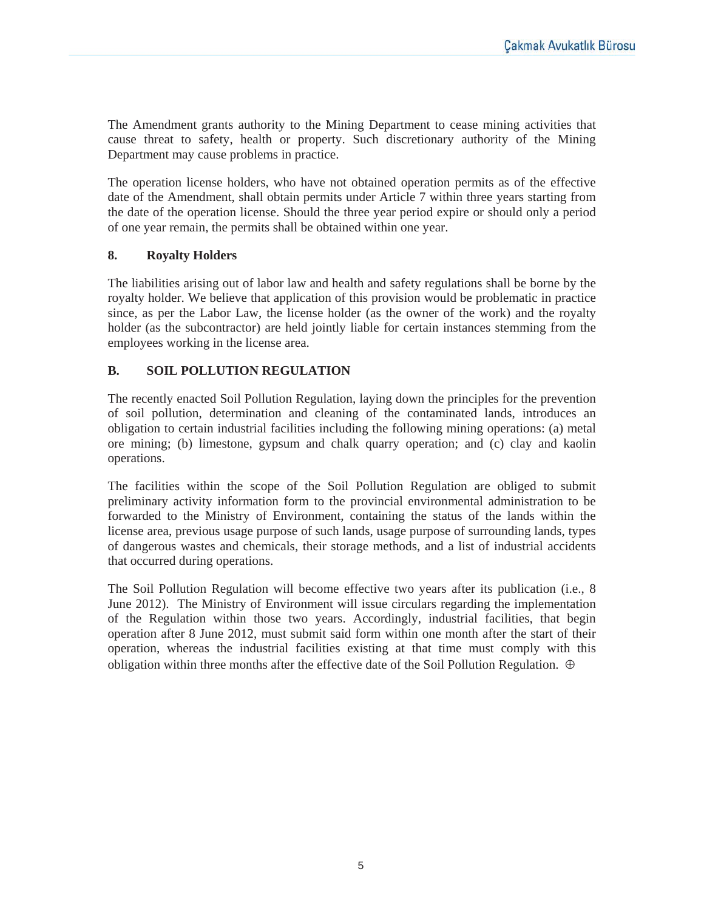The Amendment grants authority to the Mining Department to cease mining activities that cause threat to safety, health or property. Such discretionary authority of the Mining Department may cause problems in practice.

The operation license holders, who have not obtained operation permits as of the effective date of the Amendment, shall obtain permits under Article 7 within three years starting from the date of the operation license. Should the three year period expire or should only a period of one year remain, the permits shall be obtained within one year.

### **8. Royalty Holders**

The liabilities arising out of labor law and health and safety regulations shall be borne by the royalty holder. We believe that application of this provision would be problematic in practice since, as per the Labor Law, the license holder (as the owner of the work) and the royalty holder (as the subcontractor) are held jointly liable for certain instances stemming from the employees working in the license area.

### **B. SOIL POLLUTION REGULATION**

The recently enacted Soil Pollution Regulation, laying down the principles for the prevention of soil pollution, determination and cleaning of the contaminated lands, introduces an obligation to certain industrial facilities including the following mining operations: (a) metal ore mining; (b) limestone, gypsum and chalk quarry operation; and (c) clay and kaolin operations.

The facilities within the scope of the Soil Pollution Regulation are obliged to submit preliminary activity information form to the provincial environmental administration to be forwarded to the Ministry of Environment, containing the status of the lands within the license area, previous usage purpose of such lands, usage purpose of surrounding lands, types of dangerous wastes and chemicals, their storage methods, and a list of industrial accidents that occurred during operations.

The Soil Pollution Regulation will become effective two years after its publication (i.e., 8 June 2012). The Ministry of Environment will issue circulars regarding the implementation of the Regulation within those two years. Accordingly, industrial facilities, that begin operation after 8 June 2012, must submit said form within one month after the start of their operation, whereas the industrial facilities existing at that time must comply with this obligation within three months after the effective date of the Soil Pollution Regulation. ⊕